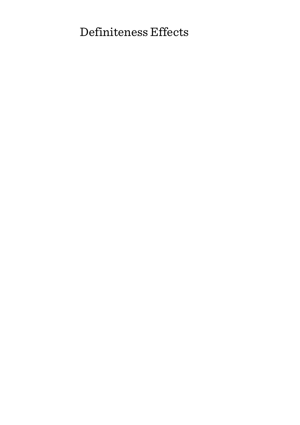# Definiteness Effects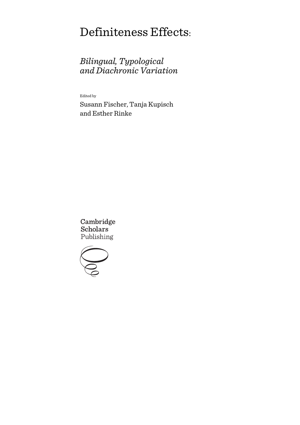# Definiteness Effects:

# *Bilingual, Typological and Diachronic Variation*

Edited by

Susann Fischer, Tanja Kupisch and Esther Rinke

Cambridge **Scholars** Publishing

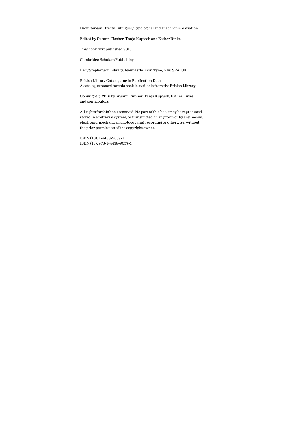Definiteness Effects: Bilingual, Typological and Diachronic Variation

Edited by Susann Fischer, Tanja Kupisch and Esther Rinke

This book first published 2016

Cambridge Scholars Publishing

Lady Stephenson Library, Newcastle upon Tyne, NE6 2PA, UK

British Library Cataloguing in Publication Data A catalogue record for this book is available from the British Library

Copyright © 2016 by Susann Fischer, Tanja Kupisch, Esther Rinke and contributors

All rights for this book reserved. No part of this book may be reproduced, stored in a retrieval system, or transmitted, in any form or by any means, electronic, mechanical, photocopying, recording or otherwise, without the prior permission of the copyright owner.

ISBN (10): 1-4438-9057-X ISBN (13): 978-1-4438-9057-1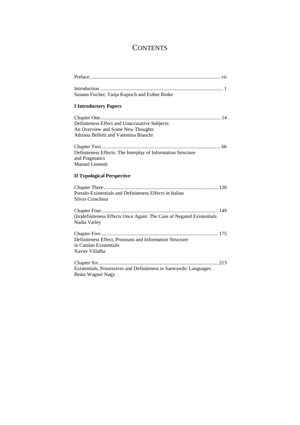# **CONTENTS**

| Susann Fischer, Tanja Kupisch and Esther Rinke                                                                                |
|-------------------------------------------------------------------------------------------------------------------------------|
| <b>I</b> Introductory Papers                                                                                                  |
| Definiteness Effect and Unaccusative Subjects:<br>An Overview and Some New Thoughts<br>Adriana Belletti and Valentina Bianchi |
| Definiteness Effects: The Interplay of Information Structure<br>and Pragmatics<br>Manuel Leonetti                             |
| <b>II Typological Perspective</b>                                                                                             |
| Pseudo-Existentials and Definiteness Effects in Italian<br>Silvio Cruschina                                                   |
| (In)definiteness Effects Once Again: The Case of Negated Existentials<br>Nadia Varley                                         |
| Definiteness Effect, Pronouns and Information Structure<br>in Catalan Existentials<br>Xavier Villalba                         |
| Existentials, Possessives and Definiteness in Samoyedic Languages<br>Beáta Wagner Nagy                                        |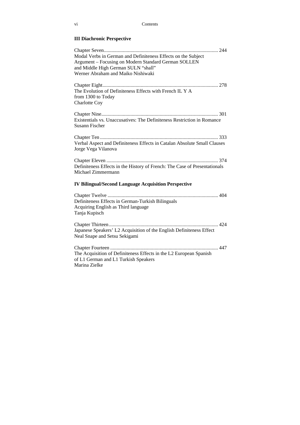### **III Diachronic Perspective**

| Modal Verbs in German and Definiteness Effects on the Subject<br>Argument – Focusing on Modern Standard German SOLLEN<br>and Middle High German SULN "shall"<br>Werner Abraham and Maiko Nishiwaki |
|----------------------------------------------------------------------------------------------------------------------------------------------------------------------------------------------------|
| The Evolution of Definiteness Effects with French IL Y A<br>from 1300 to Today<br>Charlotte Coy                                                                                                    |
| Existentials vs. Unaccusatives: The Definiteness Restriction in Romance<br><b>Susann Fischer</b>                                                                                                   |
| Verbal Aspect and Definiteness Effects in Catalan Absolute Small Clauses<br>Jorge Vega Vilanova                                                                                                    |
| Definiteness Effects in the History of French: The Case of Presentationals<br>Michael Zimmermann                                                                                                   |
| <b>IV Bilingual/Second Language Acquisition Perspective</b>                                                                                                                                        |
| Definiteness Effects in German-Turkish Bilinguals<br>Acquiring English as Third language<br>Tanja Kupisch                                                                                          |
| Japanese Speakers' L2 Acquisition of the English Definiteness Effect<br>Neal Snape and Setsu Sekigami                                                                                              |
| The Acquisition of Definiteness Effects in the L2 European Spanish<br>of L1 German and L1 Turkish Speakers<br>Marina Zielke                                                                        |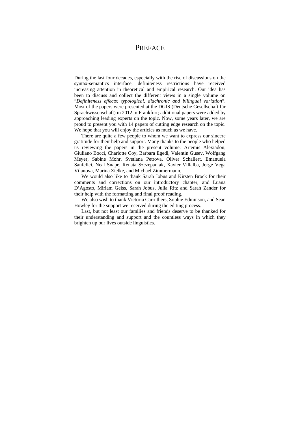### **PREFACE**

During the last four decades, especially with the rise of discussions on the syntax-semantics interface, definiteness restrictions have received increasing attention in theoretical and empirical research. Our idea has been to discuss and collect the different views in a single volume on "*Definiteness effects: typological, diachronic and bilingual variation*". Most of the papers were presented at the DGfS (Deutsche Gesellschaft für Sprachwissenschaft) in 2012 in Frankfurt; additional papers were added by approaching leading experts on the topic. Now, some years later, we are proud to present you with 14 papers of cutting edge research on the topic. We hope that you will enjoy the articles as much as we have.

There are quite a few people to whom we want to express our sincere gratitude for their help and support. Many thanks to the people who helped us reviewing the papers in the present volume: Artemis Alexiadou, Giuliano Bocci, Charlotte Coy, Barbara Egedi, Valentin Gusev, Wolfgang Meyer, Sabine Mohr, Svetlana Petrova, Oliver Schallert, Emanuela Sanfelici, Neal Snape, Renata Szczepaniak, Xavier Villalba, Jorge Vega Vilanova, Marina Zielke, and Michael Zimmermann,

We would also like to thank Sarah Jobus and Kirsten Brock for their comments and corrections on our introductory chapter, and Luana D'Agosto, Miriam Geiss, Sarah Jobus, Julia Ritz and Sarah Zander for their help with the formatting and final proof reading.

We also wish to thank Victoria Carruthers, Sophie Edminson, and Sean Howley for the support we received during the editing process.

Last, but not least our families and friends deserve to be thanked for their understanding and support and the countless ways in which they brighten up our lives outside linguistics.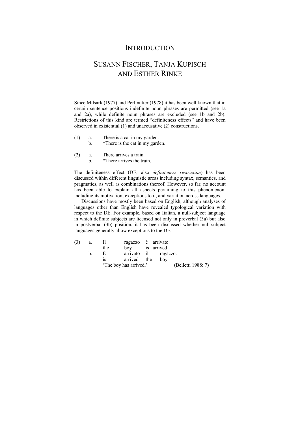### **INTRODUCTION**

## SUSANN FISCHER, TANJA KUPISCH AND ESTHER RINKE

Since Milsark (1977) and Perlmutter (1978) it has been well known that in certain sentence positions indefinite noun phrases are permitted (see 1a and 2a), while definite noun phrases are excluded (see 1b and 2b). Restrictions of this kind are termed "definiteness effects" and have been observed in existential (1) and unaccusative (2) constructions.

(1) a. There is a cat in my garden.

b. \*There is the cat in my garden.

- (2) a. There arrives a train.
	- b. \*There arrives the train.

The definiteness effect (DE; also *definiteness restriction*) has been discussed within different linguistic areas including syntax, semantics, and pragmatics, as well as combinations thereof. However, so far, no account has been able to explain all aspects pertaining to this phenomenon, including its motivation, exceptions to it, and variation across languages.

Discussions have mostly been based on English, although analyses of languages other than English have revealed typological variation with respect to the DE. For example, based on Italian, a null-subject language in which definite subjects are licensed not only in preverbal (3a) but also in postverbal (3b) position, it has been discussed whether null-subject languages generally allow exceptions to the DE.

| (3) | a. | Ш   | ragazzo è arrivato.    |                      |                    |
|-----|----|-----|------------------------|----------------------|--------------------|
|     |    | the | bov                    | is arrived           |                    |
|     | b. | E   |                        | arrivato il ragazzo. |                    |
|     |    | 1S  | arrived the            | boy                  |                    |
|     |    |     | 'The boy has arrived.' |                      | (Belletti 1988: 7) |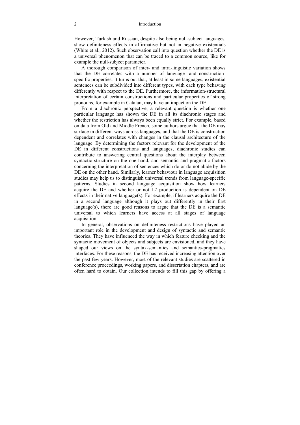However, Turkish and Russian, despite also being null-subject languages, show definiteness effects in affirmative but not in negative existentials (White et al., 2012). Such observation call into question whether the DE is a universal phenomenon that can be traced to a common source, like for example the null-subject parameter.

A thorough comparison of inter- and intra-linguistic variation shows that the DE correlates with a number of language- and constructionspecific properties. It turns out that, at least in some languages, existential sentences can be subdivided into different types, with each type behaving differently with respect to the DE. Furthermore, the information-structural interpretation of certain constructions and particular properties of strong pronouns, for example in Catalan, may have an impact on the DE.

From a diachronic perspective, a relevant question is whether one particular language has shown the DE in all its diachronic stages and whether the restriction has always been equally strict. For example, based on data from Old and Middle French, some authors argue that the DE may surface in different ways across languages, and that the DE is construction dependent and correlates with changes in the clausal architecture of the language. By determining the factors relevant for the development of the DE in different constructions and languages, diachronic studies can contribute to answering central questions about the interplay between syntactic structure on the one hand, and semantic and pragmatic factors concerning the interpretation of sentences which do or do not abide by the DE on the other hand. Similarly, learner behaviour in language acquisition studies may help us to distinguish universal trends from language-specific patterns. Studies in second language acquisition show how learners acquire the DE and whether or not L2 production is dependent on DE effects in their native language(s). For example, if learners acquire the DE in a second language although it plays out differently in their first language(s), there are good reasons to argue that the DE is a semantic universal to which learners have access at all stages of language acquisition.

In general, observations on definiteness restrictions have played an important role in the development and design of syntactic and semantic theories. They have influenced the way in which feature checking and the syntactic movement of objects and subjects are envisioned, and they have shaped our views on the syntax-semantics and semantics-pragmatics interfaces. For these reasons, the DE has received increasing attention over the past few years. However, most of the relevant studies are scattered in conference proceedings, working papers, and dissertation chapters, and are often hard to obtain. Our collection intends to fill this gap by offering a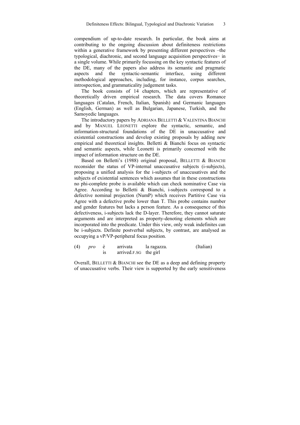compendium of up-to-date research. In particular, the book aims at contributing to the ongoing discussion about definiteness restrictions within a generative framework by presenting different perspectives –the typological, diachronic, and second language acquisition perspectives− in a single volume. While primarily focussing on the key syntactic features of the DE, many of the papers also address its semantic and pragmatic aspects and the syntactic-semantic interface, using different methodological approaches, including, for instance, corpus searches, introspection, and grammaticality judgement tasks.

The book consists of 14 chapters, which are representative of theoretically driven empirical research. The data covers Romance languages (Catalan, French, Italian, Spanish) and Germanic languages (English, German) as well as Bulgarian, Japanese, Turkish, and the Samoyedic languages.

The introductory papers by ADRIANA BELLETTI & VALENTINA BIANCHI and by MANUEL LEONETTI explore the syntactic, semantic, and information-structural foundations of the DE in unaccusative and existential constructions and develop existing proposals by adding new empirical and theoretical insights. Belletti & Bianchi focus on syntactic and semantic aspects, while Leonetti is primarily concerned with the impact of information structure on the DE.

Based on Belletti's (1988) original proposal, BELLETTI & BIANCHI reconsider the status of VP-internal unaccusative subjects (i-subjects), proposing a unified analysis for the i-subjects of unaccusatives and the subjects of existential sentences which assumes that in these constructions no phi-complete probe is available which can check nominative Case via Agree. According to Belletti & Bianchi, i-subjects correspond to a defective nominal projection (NumP) which receives Partitive Case via Agree with a defective probe lower than T. This probe contains number and gender features but lacks a person feature. As a consequence of this defectiveness, i-subjects lack the D-layer. Therefore, they cannot saturate arguments and are interpreted as property-denoting elements which are incorporated into the predicate. Under this view, only weak indefinites can be i-subjects. Definite postverbal subjects, by contrast, are analysed as occupying a vP/VP-peripheral focus position.

| (4) | pro | arrivata              | la ragazza. | (Italian) |
|-----|-----|-----------------------|-------------|-----------|
|     |     | arrived.F.SG the girl |             |           |

Overall, BELLETTI & BIANCHI see the DE as a deep and defining property of unaccusative verbs. Their view is supported by the early sensitiveness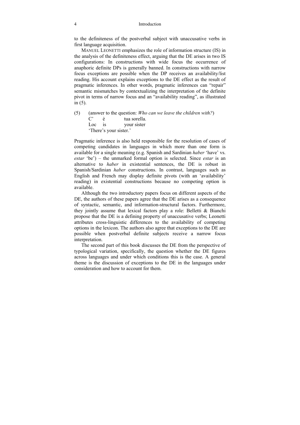#### 4 Introduction

to the definiteness of the postverbal subject with unaccusative verbs in first language acquisition.

MANUEL LEONETTI emphasizes the role of information structure (IS) in the analysis of the definiteness effect, arguing that the DE arises in two IS configurations: In constructions with wide focus the occurrence of anaphoric definite DPs is generally banned. In constructions with narrow focus exceptions are possible when the DP receives an availability/list reading. His account explains exceptions to the DE effect as the result of pragmatic inferences. In other words, pragmatic inferences can "repair" semantic mismatches by contextualizing the interpretation of the definite pivot in terms of narrow focus and an "availability reading", as illustrated in (5).

(5) (answer to the question: *Who can we leave the children with?*) C' è tua sorella. Loc is your sister 'There's your sister.'

Pragmatic inference is also held responsible for the resolution of cases of competing candidates in languages in which more than one form is available for a single meaning (e.g. Spanish and Sardinian *haber* 'have' vs. *estar* 'be') – the unmarked formal option is selected. Since *estar* is an alternative to *haber* in existential sentences, the DE is robust in Spanish/Sardinian *haber* constructions. In contrast, languages such as English and French may display definite pivots (with an ʻavailability' reading) in existential constructions because no competing option is available.

Although the two introductory papers focus on different aspects of the DE, the authors of these papers agree that the DE arises as a consequence of syntactic, semantic, and information-structural factors. Furthermore, they jointly assume that lexical factors play a role: Belletti & Bianchi propose that the DE is a defining property of unaccusative verbs; Leonetti attributes cross-linguistic differences to the availability of competing options in the lexicon. The authors also agree that exceptions to the DE are possible when postverbal definite subjects receive a narrow focus interpretation.

The second part of this book discusses the DE from the perspective of typological variation, specifically, the question whether the DE figures across languages and under which conditions this is the case. A general theme is the discussion of exceptions to the DE in the languages under consideration and how to account for them.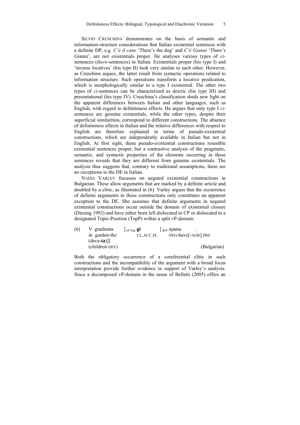SILVIO CRUSCHINA demonstrates on the basis of semantic and information-structure considerations that Italian existential sentences with a definite DP, e.g. *C'è il cane* 'There's the dog' and *C'è Gianni* 'There's Gianni', are not existentials proper. He analyses various types of *ci*sentences (*there*-sentences) in Italian. Existentials proper (his type I) and 'inverse locatives' (his type II) look very similar to each other. However, as Cruschina argues, the latter result from syntactic operations related to information structure. Such operations transform a locative predication, which is morphologically similar to a type I existential. The other two types of *ci*-sentences can be characterized as deictic (his type III) and presentational (his type IV). Cruschina's classification sheds new light on the apparent differences between Italian and other languages, such as English, with regard to definiteness effects. He argues that only type I *ci*sentences are genuine existentials, while the other types, despite their superficial similarities, correspond to different constructions. The absence of definiteness effects in Italian and the relative differences with respect to English are therefore explained in terms of pseudo-existential constructions, which are independently available in Italian but not in English. At first sight, these pseudo-existential constructions resemble existential sentences proper, but a contrastive analysis of the pragmatic, semantic, and syntactic properties of the elements occurring in these sentences reveals that they are different from genuine existentials. The analysis thus suggests that, contrary to traditional assumptions, there are no exceptions to the DE in Italian.

NADIA VARLEY focusses on negated existential constructions in Bulgarian. These allow arguments that are marked by a definite article and doubled by a clitic, as illustrated in (6). Varley argues that the occurrence of definite arguments in these constructions only constitutes an apparent exception to the DE. She assumes that definite arguments in negated existential constructions occur outside the domain of existential closure (Diesing 1992) and have either been left dislocated to CP or dislocated to a designated Topic-Position (TopP) within a split vP-domain.

| (6) | V gradinata    | $\lfloor$ <sub>V</sub> P T <sub>op</sub> $\mathbf{g}$ <b>i</b> | $\vert$ <sub>3vP</sub> njama    |  |
|-----|----------------|----------------------------------------------------------------|---------------------------------|--|
|     | in garden-the  | CL.ACC.PL                                                      | NEG-have <sup>[-AGR]</sup> .PRS |  |
|     | $-deca-ta$ ]]  |                                                                |                                 |  |
|     | (children-DEF) |                                                                | (Bulgarian)                     |  |

Both the obligatory occurrence of a coreferential clitic in such constructions and the incompatibility of the argument with a broad focus interpretation provide further evidence in support of Varley's analysis. Since a decomposed vP-domain in the sense of Belletti (2005) offers an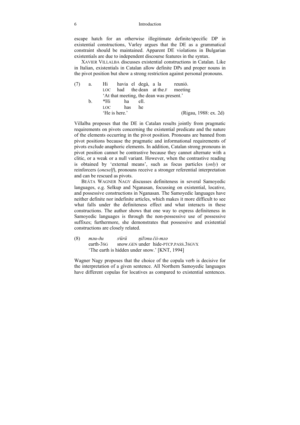#### 6 Introduction

escape hatch for an otherwise illegitimate definite/specific DP in existential constructions, Varley argues that the DE as a grammatical constraint should be maintained. Apparent DE violations in Bulgarian existentials are due to independent discourse features in the syntax.

XAVIER VILLALBA discusses existential constructions in Catalan. Like in Italian, existentials in Catalan allow definite DPs and proper nouns in the pivot position but show a strong restriction against personal pronouns.

| a. |  |                             |           |  |                                                                                                               |
|----|--|-----------------------------|-----------|--|---------------------------------------------------------------------------------------------------------------|
|    |  |                             |           |  |                                                                                                               |
|    |  |                             |           |  |                                                                                                               |
| h. |  |                             | ell.      |  |                                                                                                               |
|    |  |                             | he        |  |                                                                                                               |
|    |  |                             |           |  | (Rigau, 1988: ex. 2d)                                                                                         |
|    |  | *Hi<br>LOC<br>'He is here.' | ha<br>has |  | Hi havia el degà, a la reunió.<br>LOC had the dean at the F meeting<br>At that meeting, the dean was present. |

Villalba proposes that the DE in Catalan results jointly from pragmatic requirements on pivots concerning the existential predicate and the nature of the elements occurring in the pivot position. Pronouns are banned from pivot positions because the pragmatic and informational requirements of pivots exclude anaphoric elements. In addition, Catalan strong pronouns in pivot position cannot be contrastive because they cannot alternate with a clitic, or a weak or a null variant. However, when the contrastive reading is obtained by 'external means', such as focus particles (*only*) or reinforcers (*oneself*), pronouns receive a stronger referential interpretation and can be rescued as pivots.

BEÁTA WAGNER NAGY discusses definiteness in several Samoyedic languages, e.g. Selkup and Nganasan, focussing on existential, locative, and possessive constructions in Nganasan. The Samoyedic languages have neither definite nor indefinite articles, which makes it more difficult to see what falls under the definiteness effect and what interacts in these constructions. The author shows that one way to express definiteness in Samoyedic languages is through the non-possessive use of possessive suffixes; furthermore, she demonstrates that possessive and existential constructions are closely related.

(8) *məu-ðu sʲürü ŋilʲənu čii-məə* earth-3sG snow.GEN under hide-PTCP.PASS.3SGVX 'The earth is hidden under snow.' [KNT, 1994]

Wagner Nagy proposes that the choice of the copula verb is decisive for the interpretation of a given sentence. All Northern Samoyedic languages have different copulas for locatives as compared to existential sentences.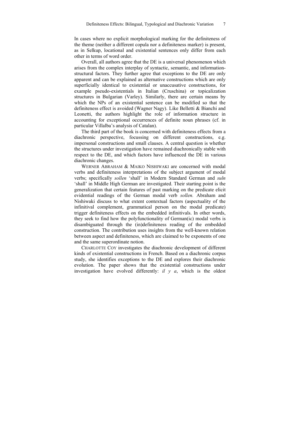In cases where no explicit morphological marking for the definiteness of the theme (neither a different copula nor a definiteness marker) is present, as in Selkup, locational and existential sentences only differ from each other in terms of word order.

Overall, all authors agree that the DE is a universal phenomenon which arises from the complex interplay of syntactic, semantic, and informationstructural factors. They further agree that exceptions to the DE are only apparent and can be explained as alternative constructions which are only superficially identical to existential or unaccusative constructions, for example pseudo-existentials in Italian (Cruschina) or topicalization structures in Bulgarian (Varley). Similarly, there are certain means by which the NPs of an existential sentence can be modified so that the definiteness effect is avoided (Wagner Nagy). Like Belletti & Bianchi and Leonetti, the authors highlight the role of information structure in accounting for exceptional occurrences of definite noun phrases (cf. in particular Villalba's analysis of Catalan).

The third part of the book is concerned with definiteness effects from a diachronic perspective, focussing on different constructions, e.g. impersonal constructions and small clauses. A central question is whether the structures under investigation have remained diachronically stable with respect to the DE, and which factors have influenced the DE in various diachronic changes.

WERNER ABRAHAM & MAIKO NISHIWAKI are concerned with modal verbs and definiteness interpretations of the subject argument of modal verbs; specifically *sollen* 'shall' in Modern Standard German and *suln* 'shall' in Middle High German are investigated. Their starting point is the generalization that certain features of past marking on the predicate elicit evidential readings of the German modal verb *sollen.* Abraham and Nishiwaki discuss to what extent contextual factors (aspectuality of the infinitival complement, grammatical person on the modal predicate) trigger definiteness effects on the embedded infinitivals. In other words, they seek to find how the polyfunctionality of German(ic) modal verbs is disambiguated through the (in)definiteness reading of the embedded construction. The contribution uses insights from the well-known relation between aspect and definiteness, which are claimed to be exponents of one and the same superordinate notion.

CHARLOTTE COY investigates the diachronic development of different kinds of existential constructions in French. Based on a diachronic corpus study, she identifies exceptions to the DE and explores their diachronic evolution. The paper shows that the existential constructions under investigation have evolved differently: *il y a*, which is the oldest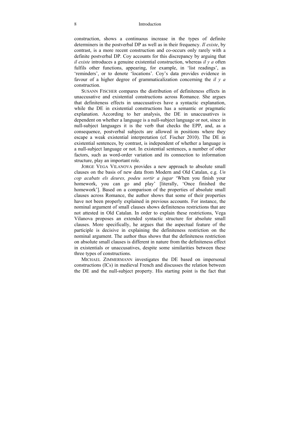#### 8 Introduction

construction, shows a continuous increase in the types of definite determiners in the postverbal DP as well as in their frequency. *Il existe*, by contrast, is a more recent construction and co-occurs only rarely with a definite postverbal DP. Coy accounts for this discrepancy by arguing that *il existe* introduces a genuine existential construction, whereas *il y a* often fulfils other functions, appearing, for example, in 'list readings', as 'reminders', or to denote 'locations'. Coy's data provides evidence in favour of a higher degree of grammaticalization concerning the *il y a* construction.

SUSANN FISCHER compares the distribution of definiteness effects in unaccusative and existential constructions across Romance. She argues that definiteness effects in unaccusatives have a syntactic explanation, while the DE in existential constructions has a semantic or pragmatic explanation. According to her analysis, the DE in unaccusatives is dependent on whether a language is a null-subject language or not, since in null-subject languages it is the verb that checks the EPP, and, as a consequence, postverbal subjects are allowed in positions where they escape a weak existential interpretation (cf. Fischer 2010). The DE in existential sentences, by contrast, is independent of whether a language is a null-subject language or not. In existential sentences, a number of other factors, such as word-order variation and its connection to information structure, play an important role.

JORGE VEGA VILANOVA provides a new approach to absolute small clauses on the basis of new data from Modern and Old Catalan, e.g. *Un cop acabats els deures, podeu sortir a jugar* 'When you finish your homework, you can go and play' [literally, 'Once finished the homework']. Based on a comparison of the properties of absolute small clauses across Romance, the author shows that some of their properties have not been properly explained in previous accounts. For instance, the nominal argument of small clauses shows definiteness restrictions that are not attested in Old Catalan. In order to explain these restrictions, Vega Vilanova proposes an extended syntactic structure for absolute small clauses. More specifically, he argues that the aspectual feature of the participle is decisive in explaining the definiteness restriction on the nominal argument. The author thus shows that the definiteness restriction on absolute small clauses is different in nature from the definiteness effect in existentials or unaccusatives, despite some similarities between these three types of constructions.

MICHAEL ZIMMERMANN investigates the DE based on impersonal constructions (ICs) in medieval French and discusses the relation between the DE and the null-subject property. His starting point is the fact that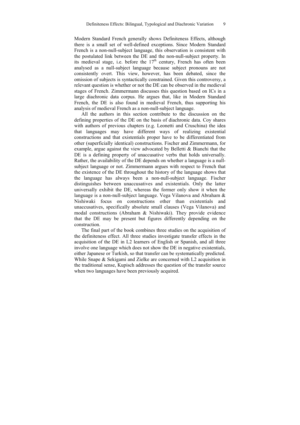Modern Standard French generally shows Definiteness Effects, although there is a small set of well-defined exceptions. Since Modern Standard French is a non-null-subject language, this observation is consistent with the postulated link between the DE and the non-null-subject property. In its medieval stage, i.e. before the  $17<sup>th</sup>$  century, French has often been analysed as a null-subject language because subject pronouns are not consistently overt. This view, however, has been debated, since the omission of subjects is syntactically constrained. Given this controversy, a relevant question is whether or not the DE can be observed in the medieval stages of French. Zimmermann discusses this question based on ICs in a large diachronic data corpus. He argues that, like in Modern Standard French, the DE is also found in medieval French, thus supporting his analysis of medieval French as a non-null-subject language.

All the authors in this section contribute to the discussion on the defining properties of the DE on the basis of diachronic data. Coy shares with authors of previous chapters (e.g. Leonetti and Cruschina) the idea that languages may have different ways of realizing existential constructions and that existentials proper have to be differentiated from other (superficially identical) constructions. Fischer and Zimmermann, for example, argue against the view advocated by Belletti & Bianchi that the DE is a defining property of unaccusative verbs that holds universally. Rather, the availability of the DE depends on whether a language is a nullsubject language or not. Zimmermann argues with respect to French that the existence of the DE throughout the history of the language shows that the language has always been a non-null-subject language. Fischer distinguishes between unaccusatives and existentials. Only the latter universally exhibit the DE, whereas the former only show it when the language is a non-null-subject language. Vega Vilanova and Abraham  $\&$ Nishiwaki focus on constructions other than existentials and unaccusatives, specifically absolute small clauses (Vega Vilanova) and modal constructions (Abraham & Nishiwaki). They provide evidence that the DE may be present but figures differently depending on the construction.

The final part of the book combines three studies on the acquisition of the definiteness effect. All three studies investigate transfer effects in the acquisition of the DE in L2 learners of English or Spanish, and all three involve one language which does not show the DE in negative existentials, either Japanese or Turkish, so that transfer can be systematically predicted. While Snape & Sekigami and Zielke are concerned with L2 acquisition in the traditional sense, Kupisch addresses the question of the transfer source when two languages have been previously acquired.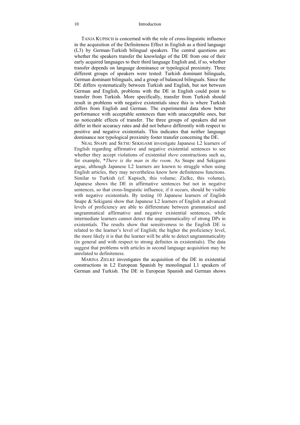#### 10 Introduction

TANJA KUPISCH is concerned with the role of cross-linguistic influence in the acquisition of the Definiteness Effect in English as a third language (L3) by German-Turkish bilingual speakers. The central questions are whether the speakers transfer the knowledge of the DE from one of their early acquired languages to their third language English and, if so, whether transfer depends on language dominance or typological proximity. Three different groups of speakers were tested: Turkish dominant bilinguals, German dominant bilinguals, and a group of balanced bilinguals. Since the DE differs systematically between Turkish and English, but not between German and English, problems with the DE in English could point to transfer from Turkish. More specifically, transfer from Turkish should result in problems with negative existentials since this is where Turkish differs from English and German. The experimental data show better performance with acceptable sentences than with unacceptable ones, but no noticeable effects of transfer. The three groups of speakers did not differ in their accuracy rates and did not behave differently with respect to positive and negative existentials. This indicates that neither language dominance nor typological proximity foster transfer concerning the DE.

NEAL SNAPE and SETSU SEKIGAMI investigate Japanese L2 learners of English regarding affirmative and negative existential sentences to see whether they accept violations of existential *there* constructions such as, for example, \**There is the man in the room*. As Snape and Sekigami argue, although Japanese L2 learners are known to struggle when using English articles, they may nevertheless know how definiteness functions. Similar to Turkish (cf. Kupisch, this volume; Zielke, this volume), Japanese shows the DE in affirmative sentences but not in negative sentences, so that cross-linguistic influence, if it occurs, should be visible with negative existentials. By testing 10 Japanese learners of English Snape & Sekigami show that Japanese L2 learners of English at advanced levels of proficiency are able to differentiate between grammatical and ungrammatical affirmative and negative existential sentences, while intermediate learners cannot detect the ungrammaticality of strong DPs in existentials. The results show that sensitiveness to the English DE is related to the learner's level of English; the higher the proficiency level, the more likely it is that the learner will be able to detect ungrammaticality (in general and with respect to strong definites in existentials). The data suggest that problems with articles in second language acquisition may be unrelated to definiteness.

MARINA ZIELKE investigates the acquisition of the DE in existential constructions in L2 European Spanish by monolingual L1 speakers of German and Turkish. The DE in European Spanish and German shows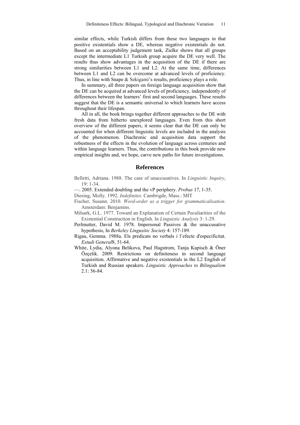similar effects, while Turkish differs from these two languages in that positive existentials show a DE, whereas negative existentials do not. Based on an acceptability judgement task, Zielke shows that all groups except the intermediate L1 Turkish group acquire the DE very well. The results thus show advantages in the acquisition of the DE if there are strong similarities between L1 and L2. At the same time, differences between L1 and L2 can be overcome at advanced levels of proficiency. Thus, in line with Snape & Sekigami's results, proficiency plays a role.

In summary, all three papers on foreign language acquisition show that the DE can be acquired at advanced levels of proficiency, independently of differences between the learners' first and second languages. These results suggest that the DE is a semantic universal to which learners have access throughout their lifespan.

All in all, the book brings together different approaches to the DE with fresh data from hitherto unexplored languages. Even from this short overview of the different papers, it seems clear that the DE can only be accounted for when different linguistic levels are included in the analysis of the phenomenon. Diachronic and acquisition data support the robustness of the effects in the evolution of language across centuries and within language learners. Thus, the contributions in this book provide new empirical insights and, we hope, carve new paths for future investigations.

#### **References**

- Belletti, Adriana. 1988. The case of unaccusatives. In *Linguistic Inquiry*,  $19 \cdot 1 - 34$
- —. 2005. Extended doubling and the vP periphery. *Probus* 17, 1-35.
- Diesing, Molly. 1992. *Indefinites*. Cambrigde, Mass.: MIT
- Fischer, Susann. 2010. *Word-order as a trigger for grammaticalisation*. Amsterdam: Benjamins.
- Milsark, G.L. 1977. Toward an Explanation of Certain Peculiarities of the Existential Construction in English. In *Linguistic Analysis* 3: 1-29.
- Perlmutter, David M. 1978. Impersonal Passives & the unaccusative hypothesis, In *Berkeley Lingusitic Society* 4: 157-189.
- Rigau, Gemma. 1988a. Els predicats no verbals i l'efecte d'especificitat. *Estudi General*8, 51-64.
- White, Lydia, Alyona Belikova, Paul Hagstrom, Tanja Kupisch & Öner Özçelik. 2009. Restrictions on definiteness in second language acquisition. Affirmative and negative existentials in the L2 English of Turkish and Russian speakers. *Linguistic Approaches to Bilingualism*   $2.1:56-84.$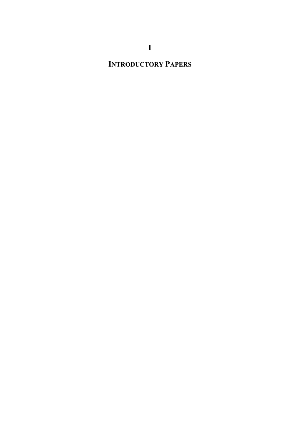# **INTRODUCTORY PAPERS**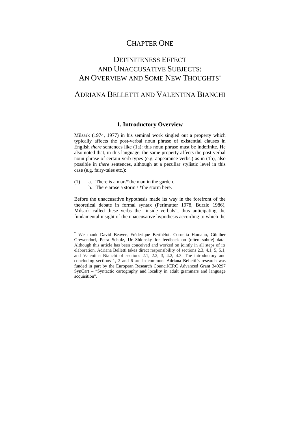### CHAPTER ONE

## DEFINITENESS EFFECT AND UNACCUSATIVE SUBJECTS: AN OVERVIEW AND SOME NEW THOUGHTS\*

### ADRIANA BELLETTI AND VALENTINA BIANCHI

#### **1. Introductory Overview**

Milsark (1974, 1977) in his seminal work singled out a property which typically affects the post-verbal noun phrase of existential clauses in English *there* sentences like (1a): this noun phrase must be indefinite. He also noted that, in this language, the same property affects the post-verbal noun phrase of certain verb types (e.g. appearance verbs.) as in (1b), also possible in *there* sentences, although at a peculiar stylistic level in this case (e.g. fairy-tales etc.):

(1) a. There is a man/\*the man in the garden.

 $\overline{a}$ 

b. There arose a storm / \*the storm here.

Before the unaccusative hypothesis made its way in the forefront of the theoretical debate in formal syntax (Perlmutter 1978, Burzio 1986), Milsark called these verbs the "inside verbals", thus anticipating the fundamental insight of the unaccusative hypothesis according to which the

<sup>\*</sup> We thank David Beaver, Fréderique Berthélot, Cornelia Hamann, Günther Grewendorf, Petra Schulz, Ur Shlonsky for feedback on (often subtle) data. Although this article has been conceived and worked on jointly in all steps of its elaboration, Adriana Belletti takes direct responsibility of sections 2.3, 4.1, 5, 5.1, and Valentina Bianchi of sections 2.1, 2.2, 3, 4.2, 4.3. The introductory and concluding sections 1, 2 and 6 are in common. Adriana Belletti's research was funded in part by the European Research Council/ERC Advanced Grant 340297 SynCart – "Syntactic cartography and locality in adult grammars and language acquisition".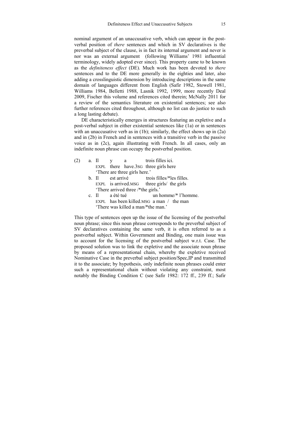nominal argument of an unaccusative verb, which can appear in the postverbal position of *there* sentences and which in SV declaratives is the preverbal subject of the clause, is in fact its internal argument and never is nor was an external argument (following Williams' 1981 influential terminology, widely adopted ever since). This property came to be known as the *definiteness effect* (DE). Much work has been devoted to *there* sentences and to the DE more generally in the eighties and later, also adding a crosslinguistic dimension by introducing descriptions in the same domain of languages different from English (Safir 1982, Stowell 1981, Williams 1984, Belletti 1988, Lasnik 1992, 1999, more recently Deal 2009, Fischer this volume and references cited therein; McNally 2011 for a review of the semantics literature on existential sentences; see also further references cited throughout, although no list can do justice to such a long lasting debate).

DE characteristically emerges in structures featuring an expletive and a post-verbal subject in either existential sentences like (1a) or in sentences with an unaccusative verb as in (1b); similarly, the effect shows up in (2a) and in (2b) in French and in sentences with a transitive verb in the passive voice as in (2c), again illustrating with French. In all cases, only an indefinite noun phrase can occupy the postverbal position.

- (2) a. Il y a trois filles ici. EXPL there have.3sG three girls here 'There are three girls here.'
	- b. Il est arrivé trois filles/\*les filles. EXPL is arrived.MSG three girls/ the girls 'There arrived three /\*the girls.'
	- c. Il a été tué un homme/\* l'homme. EXPL has been killed MSG a man / the man 'There was killed a man/\*the man.'

This type of sentences open up the issue of the licensing of the postverbal noun phrase; since this noun phrase corresponds to the preverbal subject of SV declaratives containing the same verb, it is often referred to as a postverbal subject. Within Government and Binding, one main issue was to account for the licensing of the postverbal subject w.r.t. Case. The proposed solution was to link the expletive and the associate noun phrase by means of a representational chain, whereby the expletive received Nominative Case in the preverbal subject position/Spec,IP and transmitted it to the associate; by hypothesis, only indefinite noun phrases could enter such a representational chain without violating any constraint, most notably the Binding Condition C (see Safir 1982: 172 ff., 239 ff.; Safir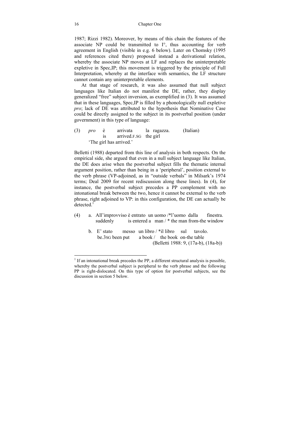1987; Rizzi 1982). Moreover, by means of this chain the features of the associate NP could be transmitted to I°, thus accounting for verb agreement in English (visible in e.g. 6 below). Later on Chomsky (1995 and references cited there) proposed instead a derivational relation, whereby the associate NP moves at LF and replaces the uninterpretable expletive in Spec,IP; this movement is triggered by the principle of Full Interpretation, whereby at the interface with semantics, the LF structure cannot contain any uninterpretable elements.

At that stage of research, it was also assumed that null subject languages like Italian do not manifest the DE, rather, they display generalized "free" subject inversion, as exemplified in (3). It was assumed that in these languages, Spec,IP is filled by a phonologically null expletive *pro*; lack of DE was attributed to the hypothesis that Nominative Case could be directly assigned to the subject in its postverbal position (under government) in this type of language:

(3) *pro* è arrivata la ragazza. (Italian) is arrived.F.SG the girl 'The girl has arrived.'

Belletti (1988) departed from this line of analysis in both respects. On the empirical side, she argued that even in a null subject language like Italian, the DE does arise when the postverbal subject fills the thematic internal argument position, rather than being in a 'peripheral', position external to the verb phrase (VP-adjoined, as in "outside verbals" in Milsark's 1974 terms; Deal 2009 for recent rediscussion along these lines). In (4), for instance, the postverbal subject precedes a PP complement with no intonational break between the two, hence it cannot be external to the verb phrase, right adjoined to VP: in this configuration, the DE can actually be  $detected<sup>1</sup>$ 

- (4) a. All'improvviso è entrato un uomo /\*l'uomo dalla finestra. suddenly is entered a man  $/*$  the man from-the window
	- b. E' stato messo un libro / \*il libro sul tavolo. be.3SG been put a book / the book on-the table (Belletti 1988: 9, (17a-b), (18a-b))

 $\overline{a}$ 

 $<sup>1</sup>$  If an intonational break precedes the PP, a different structural analysis is possible,</sup> whereby the postverbal subject is peripheral to the verb phrase and the following PP is right-dislocated. On this type of option for postverbal subjects, see the discussion in section 5 below.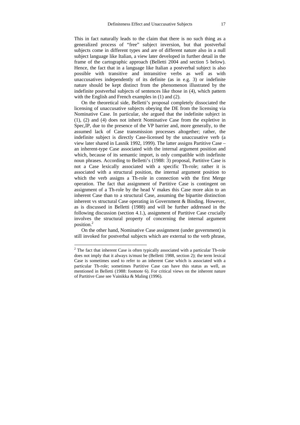This in fact naturally leads to the claim that there is no such thing as a generalized process of "free" subject inversion, but that postverbal subjects come in different types and are of different nature also in a null subject language like Italian, a view later developed in further detail in the frame of the cartographic approach (Belletti 2004 and section 5 below). Hence, the fact that in a language like Italian a postverbal subject is also possible with transitive and intransitive verbs as well as with unaccusatives independently of its definite (as in e.g. 3) or indefinite nature should be kept distinct from the phenomenon illustrated by the indefinite postverbal subjects of sentences like those in (4), which pattern with the English and French examples in (1) and (2).

On the theoretical side, Belletti's proposal completely dissociated the licensing of unaccusative subjects obeying the DE from the licensing via Nominative Case. In particular, she argued that the indefinite subject in (1), (2) and (4) does not inherit Nominative Case from the expletive in Spec,IP, due to the presence of the VP barrier and, more generally, to the assumed lack of Case transmission processes altogether; rather, the indefinite subject is directly Case-licensed by the unaccusative verb (a view later shared in Lasnik 1992, 1999). The latter assigns Partitive Case – an inherent-type Case associated with the internal argument position and which, because of its semantic import, is only compatible with indefinite noun phrases. According to Belletti's (1988: 3) proposal, Partitive Case is not a Case lexically associated with a specific Th-role; rather it is associated with a structural position, the internal argument position to which the verb assigns a Th-role in connection with the first Merge operation. The fact that assignment of Partitive Case is contingent on assignment of a Th-role by the head V makes this Case more akin to an inherent Case than to a structural Case, assuming the bipartite distinction inherent vs structural Case operating in Government & Binding. However, as is discussed in Belletti (1988) and will be further addressed in the following discussion (section 4.1.), assignment of Partitive Case crucially involves the structural property of concerning the internal argument position.<sup>2</sup>

On the other hand, Nominative Case assignment (under government) is still invoked for postverbal subjects which are external to the verb phrase,

 $2$  The fact that inherent Case is often typically associated with a particular Th-role does not imply that it always is/must be (Belletti 1988, section 2); the term lexical Case is sometimes used to refer to an inherent Case which is associated with a particular Th-role; sometimes Partitive Case can have this status as well, as mentioned in Belletti (1988: footnote 6). For critical views on the inherent nature of Partitive Case see Vainikka & Maling (1996).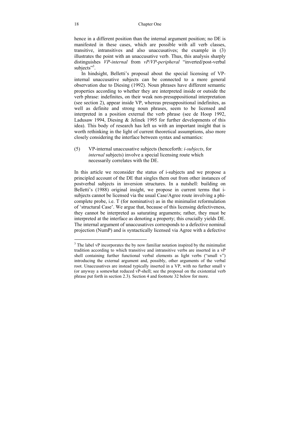hence in a different position than the internal argument position; no DE is manifested in these cases, which are possible with all verb classes, transitive, intransitives and also unaccusatives; the example in (3) illustrates the point with an unaccusative verb. Thus, this analysis sharply distinguishes *VP-internal* from *vP/VP-peripheral* "inverted/post-verbal subjects"<sup>3</sup>.

In hindsight, Belletti's proposal about the special licensing of VPinternal unaccusative subjects can be connected to a more general observation due to Diesing (1992). Noun phrases have different semantic properties according to whether they are interpreted inside or outside the verb phrase: indefinites, on their weak non-presuppositional interpretation (see section 2), appear inside VP, whereas presuppositional indefinites, as well as definite and strong noun phrases, seem to be licensed and interpreted in a position external the verb phrase (see de Hoop 1992, Ladusaw 1994, Diesing & Jelinek 1995 for further developments of this idea). This body of research has left us with an important insight that is worth rethinking in the light of current theoretical assumptions, also more closely considering the interface between syntax and semantics:

(5) VP-internal unaccusative subjects (henceforth: *i-subjects*, for *internal* subjects) involve a special licensing route which necessarily correlates with the DE.

In this article we reconsider the status of i-subjects and we propose a principled account of the DE that singles them out from other instances of postverbal subjects in inversion structures. In a nutshell: building on Belletti's (1988) original insight, we propose in current terms that isubjects cannot be licensed via the usual Case/Agree route involving a phicomplete probe, i.e. T (for nominative) as in the minimalist reformulation of 'structural Case'. We argue that, because of this licensing defectiveness, they cannot be interpreted as saturating arguments; rather, they must be interpreted at the interface as denoting a property; this crucially yields DE. The internal argument of unaccusatives corresponds to a defective nominal projection (NumP) and is syntactically licensed via Agree with a defective

<sup>&</sup>lt;sup>3</sup> The label vP incorporates the by now familiar notation inspired by the minimalist tradition according to which transitive and intransitive verbs are inserted in a vP shell containing further functional verbal elements as light verbs ("small v") introducing the external argument and, possibly, other arguments of the verbal root. Unaccusatives are instead typically inserted in a VP, with no further small v (or anyway a somewhat reduced vP-shell; see the proposal on the existential verb phrase put forth in section 2.3). Section 4 and footnote 32 below for more.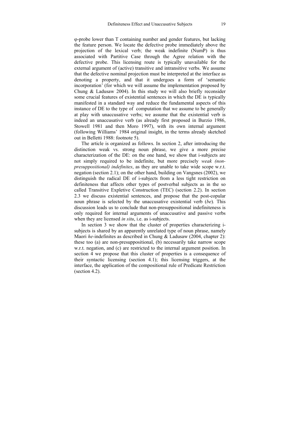-probe lower than T containing number and gender features, but lacking the feature person. We locate the defective probe immediately above the projection of the lexical verb; the weak indefinite (NumP) is thus associated with Partitive Case through the Agree relation with the defective probe. This licensing route is typically unavailable for the external argument of (active) transitive and intransitive verbs. We assume that the defective nominal projection must be interpreted at the interface as denoting a property, and that it undergoes a form of 'semantic incorporation' (for which we will assume the implementation proposed by Chung & Ladusaw 2004). In this study we will also briefly reconsider some crucial features of existential sentences in which the DE is typically manifested in a standard way and reduce the fundamental aspects of this instance of DE to the type of computation that we assume to be generally at play with unaccusative verbs; we assume that the existential verb is indeed an unaccusative verb (as already first proposed in Burzio 1986, Stowell 1981 and then Moro 1997), with its own internal argument (following Williams' 1984 original insight, in the terms already sketched out in Belletti 1988: footnote 5).

The article is organized as follows. In section 2, after introducing the distinction weak vs. strong noun phrase, we give a more precise characterization of the DE: on the one hand, we show that i-subjects are not simply required to be indefinite, but more precisely *weak (nonpresuppositional) indefinites*, as they are unable to take wide scope w.r.t. negation (section 2.1); on the other hand, building on Vangsnes (2002), we distinguish the radical DE of i-subjects from a less tight restriction on definiteness that affects other types of postverbal subjects as in the so called Transitive Expletive Construction (TEC) (section 2.2). In section 2.3 we discuss existential sentences, and propose that the post-copular noun phrase is selected by the unaccusative existential verb (*be*)*.* This discussion leads us to conclude that non-presuppositional indefiniteness is only required for internal arguments of unaccusative and passive verbs when they are licensed *in situ*, i.e. as i-subjects.

In section 3 we show that the cluster of properties characterizing isubjects is shared by an apparently unrelated type of noun phrase, namely Maori *he-*indefinites as described in Chung & Ladusaw (2004, chapter 2): these too (a) are non-presuppositional, (b) necessarily take narrow scope w.r.t. negation, and (c) are restricted to the internal argument position. In section 4 we propose that this cluster of properties is a consequence of their syntactic licensing (section 4.1); this licensing triggers, at the interface, the application of the compositional rule of Predicate Restriction (section 4.2).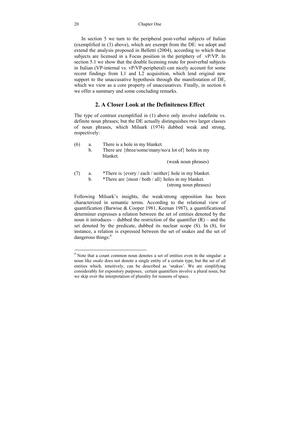In section 5 we turn to the peripheral post-verbal subjects of Italian (exemplified in (3) above), which are exempt from the DE: we adopt and extend the analysis proposed in Belletti (2004), according to which these subjects are licensed in a Focus position in the periphery of vP/VP. In section 5.1 we show that the double licensing route for postverbal subjects in Italian (VP-internal vs. vP/VP-peripheral) can nicely account for some recent findings from L1 and L2 acquisition, which lend original new support to the unaccusative hypothesis through the manifestation of DE, which we view as a core property of unaccusatives. Finally, in section 6 we offer a summary and some concluding remarks.

#### **2. A Closer Look at the Definiteness Effect**

The type of contrast exemplified in (1) above only involve indefinite vs. definite noun phrases; but the DE actually distinguishes two larger classes of noun phrases, which Milsark (1974) dubbed weak and strong, respectively:

| (6) | a.<br>$\mathbf{b}$ . | There is a hole in my blanket.<br>There are {three/some/many/no/a lot of} holes in my<br>blanket.                                      |
|-----|----------------------|----------------------------------------------------------------------------------------------------------------------------------------|
|     |                      | (weak noun phrases)                                                                                                                    |
| (7) | a.<br>b.             | *There is {every / each / neither} hole in my blanket.<br>*There are {most / both / all} holes in my blanket.<br>(strong noun phrases) |

Following Milsark's insights, the weak/strong opposition has been characterized in semantic terms. According to the relational view of quantification (Barwise & Cooper 1981, Keenan 1987), a quantificational determiner expresses a relation between the set of entities denoted by the noun it introduces – dubbed the restriction of the quantifier  $(R)$  – and the set denoted by the predicate, dubbed its nuclear scope (S). In (8), for instance, a relation is expressed between the set of snakes and the set of dangerous things:<sup>4</sup>

 $\overline{a}$ 

<sup>&</sup>lt;sup>4</sup> Note that a count common noun denotes a set of entities even in the singular: a noun like *snake* does not denote a single entity of a certain type, but the set of all entities which, intuitively, can be described as 'snakes'. We are simplifying considerably for expository purposes; certain quantifiers involve a plural noun, but we skip over the interpretation of plurality for reasons of space.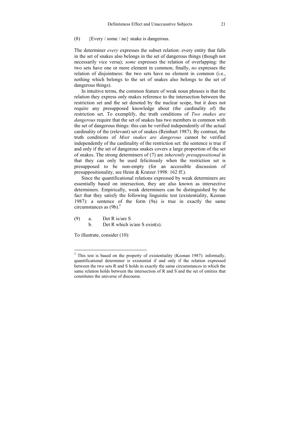#### (8)  ${Every / some / no}$  snake is dangerous.

The determiner *every* expresses the subset relation: every entity that falls in the set of snakes also belongs in the set of dangerous things (though not necessarily vice versa); *some* expresses the relation of overlapping: the two sets have one or more element in common; finally, *no* expresses the relation of disjointness: the two sets have no element in common (i.e., nothing which belongs to the set of snakes also belongs to the set of dangerous things).

In intuitive terms, the common feature of weak noun phrases is that the relation they express only makes reference to the intersection between the restriction set and the set denoted by the nuclear scope, but it does not require any presupposed knowledge about (the cardinality of) the restriction set. To exemplify, the truth conditions of *Two snakes are dangerous* require that the set of snakes has two members in common with the set of dangerous things: this can be verified independently of the actual cardinality of the (relevant) set of snakes (Reinhart 1987). By contrast, the truth conditions of *Most snakes are dangerous* cannot be verified independently of the cardinality of the restriction set: the sentence is true if and only if the set of dangerous snakes covers a large proportion of the set of snakes. The strong determiners of (7) are *inherently presuppositional* in that they can only be used felicitously when the restriction set is presupposed to be non-empty (for an accessible discussion of presuppositionality, see Heim & Kratzer 1998: 162 ff.).

Since the quantificational relations expressed by weak determiners are essentially based on intersection, they are also known as intersective determiners. Empirically, weak determiners can be distinguished by the fact that they satisfy the following linguistic test (existentiality, Keenan 1987): a sentence of the form (9a) is true in exactly the same circumstances as  $(9b)$ .<sup>5</sup>

- (9) a. Det R is/are S
	- b. Det R which is/are S exist(s).

To illustrate, consider (10):

<sup>&</sup>lt;sup>5</sup> This test is based on the property of existentiality (Keenan 1987): informally, quantificational determiner is existential if and only if the relation expressed between the two sets R and S holds in exactly the same circumstances in which the same relation holds between the intersection of R and S and the set of entities that constitutes the universe of discourse.